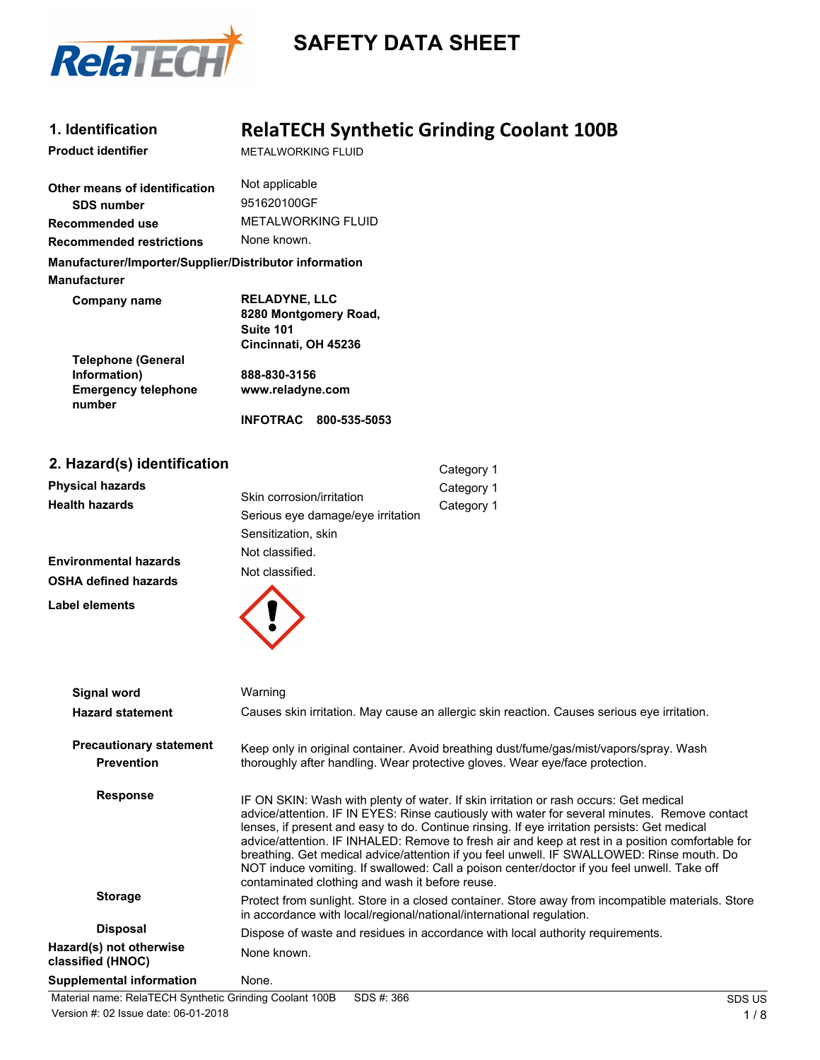

# **SAFETY DATA SHEET**

| 1. Identification                                                             |                                                                                    | <b>RelaTECH Synthetic Grinding Coolant 100B</b> |
|-------------------------------------------------------------------------------|------------------------------------------------------------------------------------|-------------------------------------------------|
| <b>Product identifier</b>                                                     | METAI WORKING FI UID                                                               |                                                 |
| Other means of identification                                                 | Not applicable                                                                     |                                                 |
| <b>SDS number</b>                                                             | 951620100GF                                                                        |                                                 |
| Recommended use                                                               | <b>METAI WORKING FI UID</b>                                                        |                                                 |
| <b>Recommended restrictions</b>                                               | None known.                                                                        |                                                 |
| Manufacturer/Importer/Supplier/Distributor information<br><b>Manufacturer</b> |                                                                                    |                                                 |
| Company name<br><b>Telephone (General</b>                                     | <b>RELADYNE, LLC</b><br>8280 Montgomery Road,<br>Suite 101<br>Cincinnati, OH 45236 |                                                 |
| Information)<br><b>Emergency telephone</b><br>number                          | 888-830-3156<br>www.reladyne.com                                                   |                                                 |
|                                                                               | INFOTRAC 800-535-5053                                                              |                                                 |
| 2. Hazard(s) identification                                                   |                                                                                    | Category 1                                      |
| <b>Physical hazards</b>                                                       |                                                                                    | Category 1                                      |
| <b>Health hazards</b>                                                         | Skin corrosion/irritation<br>Serious eye damage/eye irritation                     | Category 1                                      |

**Environmental hazards OSHA defined hazards**

**Label elements**



Sensitization, skin Not classified.

| <b>Signal word</b>                                  | Warning                                                                                                                                                                                                                                                                                                                                                                                                                                                                                                                                                                                                                                   |
|-----------------------------------------------------|-------------------------------------------------------------------------------------------------------------------------------------------------------------------------------------------------------------------------------------------------------------------------------------------------------------------------------------------------------------------------------------------------------------------------------------------------------------------------------------------------------------------------------------------------------------------------------------------------------------------------------------------|
| <b>Hazard statement</b>                             | Causes skin irritation. May cause an allergic skin reaction. Causes serious eye irritation.                                                                                                                                                                                                                                                                                                                                                                                                                                                                                                                                               |
| <b>Precautionary statement</b><br><b>Prevention</b> | Keep only in original container. Avoid breathing dust/fume/gas/mist/vapors/spray. Wash<br>thoroughly after handling. Wear protective gloves. Wear eye/face protection.                                                                                                                                                                                                                                                                                                                                                                                                                                                                    |
| <b>Response</b>                                     | IF ON SKIN: Wash with plenty of water. If skin irritation or rash occurs: Get medical<br>advice/attention. IF IN EYES: Rinse cautiously with water for several minutes. Remove contact<br>lenses, if present and easy to do. Continue rinsing. If eye irritation persists: Get medical<br>advice/attention. IF INHALED: Remove to fresh air and keep at rest in a position comfortable for<br>breathing. Get medical advice/attention if you feel unwell. IF SWALLOWED: Rinse mouth. Do<br>NOT induce vomiting. If swallowed: Call a poison center/doctor if you feel unwell. Take off<br>contaminated clothing and wash it before reuse. |
| <b>Storage</b>                                      | Protect from sunlight. Store in a closed container. Store away from incompatible materials. Store<br>in accordance with local/regional/national/international regulation.                                                                                                                                                                                                                                                                                                                                                                                                                                                                 |
| <b>Disposal</b>                                     | Dispose of waste and residues in accordance with local authority requirements.                                                                                                                                                                                                                                                                                                                                                                                                                                                                                                                                                            |
| Hazard(s) not otherwise<br>classified (HNOC)        | None known.                                                                                                                                                                                                                                                                                                                                                                                                                                                                                                                                                                                                                               |
| <b>Supplemental information</b>                     | None.                                                                                                                                                                                                                                                                                                                                                                                                                                                                                                                                                                                                                                     |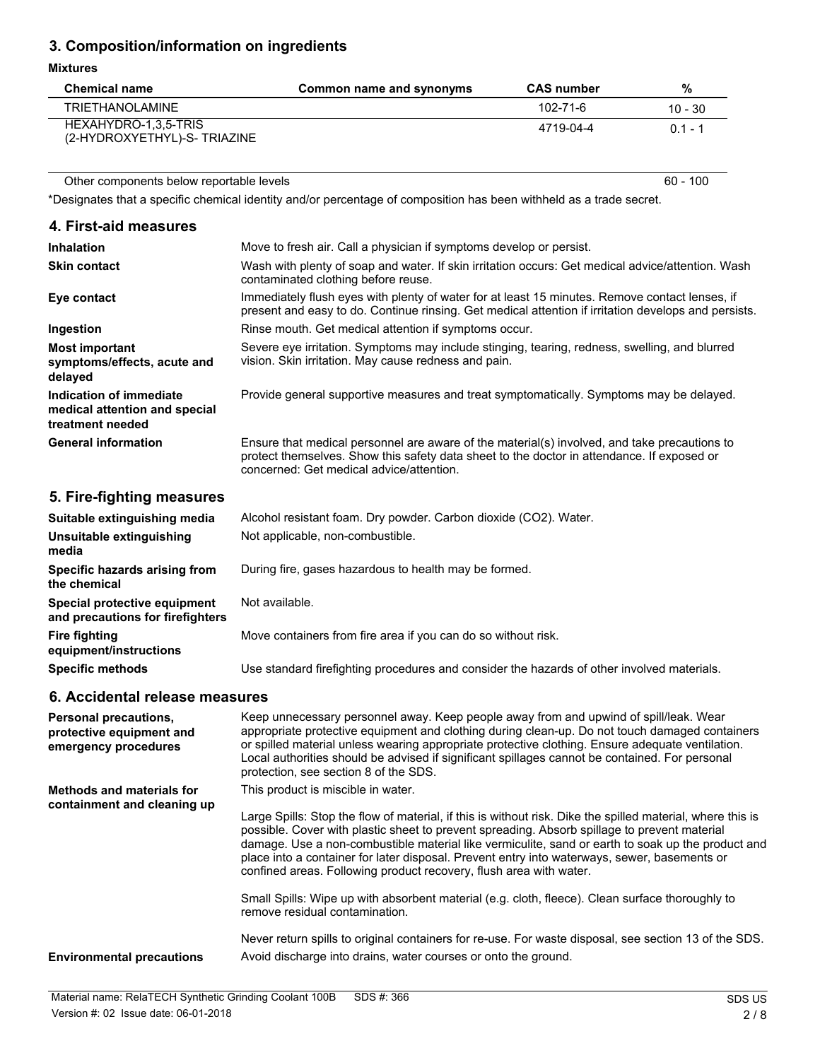### **3. Composition/information on ingredients**

#### **Mixtures**

| <b>Chemical name</b>                                | Common name and synonyms | <b>CAS number</b> | %         |
|-----------------------------------------------------|--------------------------|-------------------|-----------|
| <b>TRIETHANOLAMINE</b>                              |                          | 102-71-6          | $10 - 30$ |
| HEXAHYDRO-1,3,5-TRIS<br>(2-HYDROXYETHYL)-S-TRIAZINE |                          | 4719-04-4         | $01 - 1$  |

Other components below reportable levels 60 - 100

\*Designates that a specific chemical identity and/or percentage of composition has been withheld as a trade secret.

| 4. First-aid measures                                                        |                                                                                                                                                                                                                                        |
|------------------------------------------------------------------------------|----------------------------------------------------------------------------------------------------------------------------------------------------------------------------------------------------------------------------------------|
| <b>Inhalation</b>                                                            | Move to fresh air. Call a physician if symptoms develop or persist.                                                                                                                                                                    |
| <b>Skin contact</b>                                                          | Wash with plenty of soap and water. If skin irritation occurs: Get medical advice/attention. Wash<br>contaminated clothing before reuse.                                                                                               |
| Eye contact                                                                  | Immediately flush eyes with plenty of water for at least 15 minutes. Remove contact lenses, if<br>present and easy to do. Continue rinsing. Get medical attention if irritation develops and persists.                                 |
| Ingestion                                                                    | Rinse mouth. Get medical attention if symptoms occur.                                                                                                                                                                                  |
| <b>Most important</b><br>symptoms/effects, acute and<br>delayed              | Severe eye irritation. Symptoms may include stinging, tearing, redness, swelling, and blurred<br>vision. Skin irritation. May cause redness and pain.                                                                                  |
| Indication of immediate<br>medical attention and special<br>treatment needed | Provide general supportive measures and treat symptomatically. Symptoms may be delayed.                                                                                                                                                |
| <b>General information</b>                                                   | Ensure that medical personnel are aware of the material(s) involved, and take precautions to<br>protect themselves. Show this safety data sheet to the doctor in attendance. If exposed or<br>concerned: Get medical advice/attention. |
|                                                                              |                                                                                                                                                                                                                                        |

### **5. Fire-fighting measures**

| Suitable extinguishing media                                     | Alcohol resistant foam. Dry powder. Carbon dioxide (CO2). Water.                           |
|------------------------------------------------------------------|--------------------------------------------------------------------------------------------|
| Unsuitable extinguishing<br>media                                | Not applicable, non-combustible.                                                           |
| Specific hazards arising from<br>the chemical                    | During fire, gases hazardous to health may be formed.                                      |
| Special protective equipment<br>and precautions for firefighters | Not available.                                                                             |
| Fire fighting<br>equipment/instructions                          | Move containers from fire area if you can do so without risk.                              |
| <b>Specific methods</b>                                          | Use standard firefighting procedures and consider the hazards of other involved materials. |

### **6. Accidental release measures**

| <b>Personal precautions.</b><br>protective equipment and<br>emergency procedures | Keep unnecessary personnel away. Keep people away from and upwind of spill/leak. Wear<br>appropriate protective equipment and clothing during clean-up. Do not touch damaged containers<br>or spilled material unless wearing appropriate protective clothing. Ensure adequate ventilation.<br>Local authorities should be advised if significant spillages cannot be contained. For personal<br>protection, see section 8 of the SDS.                                                                                      |
|----------------------------------------------------------------------------------|-----------------------------------------------------------------------------------------------------------------------------------------------------------------------------------------------------------------------------------------------------------------------------------------------------------------------------------------------------------------------------------------------------------------------------------------------------------------------------------------------------------------------------|
| Methods and materials for<br>containment and cleaning up                         | This product is miscible in water.<br>Large Spills: Stop the flow of material, if this is without risk. Dike the spilled material, where this is<br>possible. Cover with plastic sheet to prevent spreading. Absorb spillage to prevent material<br>damage. Use a non-combustible material like vermiculite, sand or earth to soak up the product and<br>place into a container for later disposal. Prevent entry into waterways, sewer, basements or<br>confined areas. Following product recovery, flush area with water. |
|                                                                                  | Small Spills: Wipe up with absorbent material (e.g. cloth, fleece). Clean surface thoroughly to<br>remove residual contamination.                                                                                                                                                                                                                                                                                                                                                                                           |
| <b>Environmental precautions</b>                                                 | Never return spills to original containers for re-use. For waste disposal, see section 13 of the SDS.<br>Avoid discharge into drains, water courses or onto the ground.                                                                                                                                                                                                                                                                                                                                                     |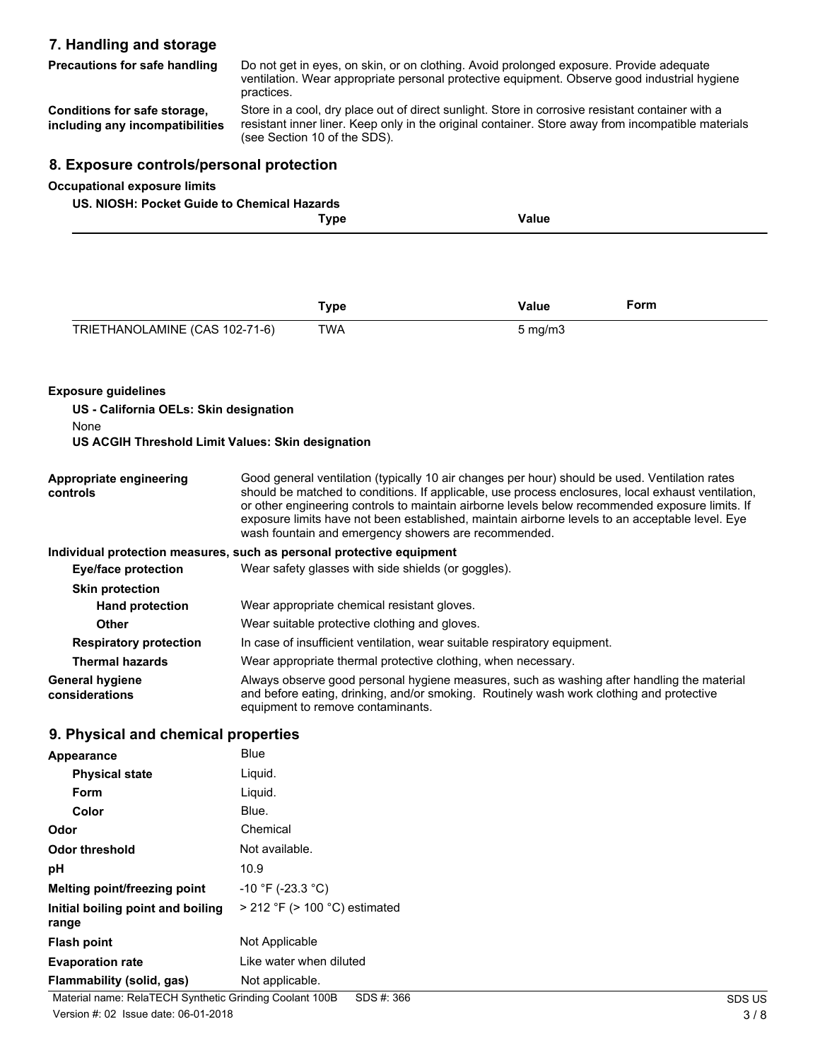### **7. Handling and storage**

| <b>Precautions for safe handling</b>                                                                | Do not get in eyes, on skin, or on clothing. Avoid prolonged exposure. Provide adequate<br>ventilation. Wear appropriate personal protective equipment. Observe good industrial hygiene<br>practices.                                  |                                                                           |  |              |                                                                                                                                                                                                      |
|-----------------------------------------------------------------------------------------------------|----------------------------------------------------------------------------------------------------------------------------------------------------------------------------------------------------------------------------------------|---------------------------------------------------------------------------|--|--------------|------------------------------------------------------------------------------------------------------------------------------------------------------------------------------------------------------|
| Conditions for safe storage,<br>including any incompatibilities                                     | Store in a cool, dry place out of direct sunlight. Store in corrosive resistant container with a<br>resistant inner liner. Keep only in the original container. Store away from incompatible materials<br>(see Section 10 of the SDS). |                                                                           |  |              |                                                                                                                                                                                                      |
| 8. Exposure controls/personal protection                                                            |                                                                                                                                                                                                                                        |                                                                           |  |              |                                                                                                                                                                                                      |
| <b>Occupational exposure limits</b>                                                                 |                                                                                                                                                                                                                                        |                                                                           |  |              |                                                                                                                                                                                                      |
| US. NIOSH: Pocket Guide to Chemical Hazards                                                         |                                                                                                                                                                                                                                        |                                                                           |  |              |                                                                                                                                                                                                      |
|                                                                                                     |                                                                                                                                                                                                                                        | <b>Type</b>                                                               |  | <b>Value</b> |                                                                                                                                                                                                      |
|                                                                                                     |                                                                                                                                                                                                                                        |                                                                           |  |              |                                                                                                                                                                                                      |
|                                                                                                     |                                                                                                                                                                                                                                        |                                                                           |  |              |                                                                                                                                                                                                      |
|                                                                                                     |                                                                                                                                                                                                                                        |                                                                           |  |              |                                                                                                                                                                                                      |
|                                                                                                     |                                                                                                                                                                                                                                        | <b>Type</b>                                                               |  | <b>Value</b> | Form                                                                                                                                                                                                 |
| TRIETHANOLAMINE (CAS 102-71-6)                                                                      |                                                                                                                                                                                                                                        | <b>TWA</b>                                                                |  | $5$ mg/m $3$ |                                                                                                                                                                                                      |
|                                                                                                     |                                                                                                                                                                                                                                        |                                                                           |  |              |                                                                                                                                                                                                      |
|                                                                                                     |                                                                                                                                                                                                                                        |                                                                           |  |              |                                                                                                                                                                                                      |
| <b>Exposure guidelines</b>                                                                          |                                                                                                                                                                                                                                        |                                                                           |  |              |                                                                                                                                                                                                      |
| US - California OELs: Skin designation                                                              |                                                                                                                                                                                                                                        |                                                                           |  |              |                                                                                                                                                                                                      |
| None                                                                                                |                                                                                                                                                                                                                                        |                                                                           |  |              |                                                                                                                                                                                                      |
| US ACGIH Threshold Limit Values: Skin designation                                                   |                                                                                                                                                                                                                                        |                                                                           |  |              |                                                                                                                                                                                                      |
|                                                                                                     |                                                                                                                                                                                                                                        |                                                                           |  |              |                                                                                                                                                                                                      |
| Appropriate engineering<br>controls                                                                 |                                                                                                                                                                                                                                        |                                                                           |  |              | Good general ventilation (typically 10 air changes per hour) should be used. Ventilation rates<br>should be matched to conditions. If applicable, use process enclosures, local exhaust ventilation, |
|                                                                                                     |                                                                                                                                                                                                                                        |                                                                           |  |              | or other engineering controls to maintain airborne levels below recommended exposure limits. If                                                                                                      |
|                                                                                                     |                                                                                                                                                                                                                                        | wash fountain and emergency showers are recommended.                      |  |              | exposure limits have not been established, maintain airborne levels to an acceptable level. Eye                                                                                                      |
|                                                                                                     |                                                                                                                                                                                                                                        |                                                                           |  |              |                                                                                                                                                                                                      |
| Individual protection measures, such as personal protective equipment<br><b>Eye/face protection</b> |                                                                                                                                                                                                                                        | Wear safety glasses with side shields (or goggles).                       |  |              |                                                                                                                                                                                                      |
| <b>Skin protection</b>                                                                              |                                                                                                                                                                                                                                        |                                                                           |  |              |                                                                                                                                                                                                      |
| <b>Hand protection</b>                                                                              |                                                                                                                                                                                                                                        | Wear appropriate chemical resistant gloves.                               |  |              |                                                                                                                                                                                                      |
| <b>Other</b>                                                                                        |                                                                                                                                                                                                                                        | Wear suitable protective clothing and gloves.                             |  |              |                                                                                                                                                                                                      |
| <b>Respiratory protection</b>                                                                       |                                                                                                                                                                                                                                        | In case of insufficient ventilation, wear suitable respiratory equipment. |  |              |                                                                                                                                                                                                      |
| <b>Thermal hazards</b>                                                                              |                                                                                                                                                                                                                                        | Wear appropriate thermal protective clothing, when necessary.             |  |              |                                                                                                                                                                                                      |
| <b>General hygiene</b>                                                                              | Always observe good personal hygiene measures, such as washing after handling the material                                                                                                                                             |                                                                           |  |              |                                                                                                                                                                                                      |
| considerations                                                                                      |                                                                                                                                                                                                                                        | equipment to remove contaminants.                                         |  |              | and before eating, drinking, and/or smoking. Routinely wash work clothing and protective                                                                                                             |
|                                                                                                     |                                                                                                                                                                                                                                        |                                                                           |  |              |                                                                                                                                                                                                      |
| 9. Physical and chemical properties                                                                 |                                                                                                                                                                                                                                        |                                                                           |  |              |                                                                                                                                                                                                      |
| <b>Appearance</b>                                                                                   | Blue                                                                                                                                                                                                                                   |                                                                           |  |              |                                                                                                                                                                                                      |
| <b>Physical state</b>                                                                               | Liquid.                                                                                                                                                                                                                                |                                                                           |  |              |                                                                                                                                                                                                      |
| Form                                                                                                | Liquid.                                                                                                                                                                                                                                |                                                                           |  |              |                                                                                                                                                                                                      |
| Color                                                                                               | Blue.                                                                                                                                                                                                                                  |                                                                           |  |              |                                                                                                                                                                                                      |
| Odor                                                                                                | Chemical                                                                                                                                                                                                                               |                                                                           |  |              |                                                                                                                                                                                                      |
| <b>Odor threshold</b>                                                                               | Not available.                                                                                                                                                                                                                         |                                                                           |  |              |                                                                                                                                                                                                      |
| pH                                                                                                  | 10.9                                                                                                                                                                                                                                   |                                                                           |  |              |                                                                                                                                                                                                      |
| Melting point/freezing point                                                                        | $-10$ °F (-23.3 °C)                                                                                                                                                                                                                    |                                                                           |  |              |                                                                                                                                                                                                      |
| Initial boiling point and boiling                                                                   | $>$ 212 °F ( $>$ 100 °C) estimated                                                                                                                                                                                                     |                                                                           |  |              |                                                                                                                                                                                                      |

**Evaporation rate Like water when diluted** 

**Flash point** Not Applicable

**range**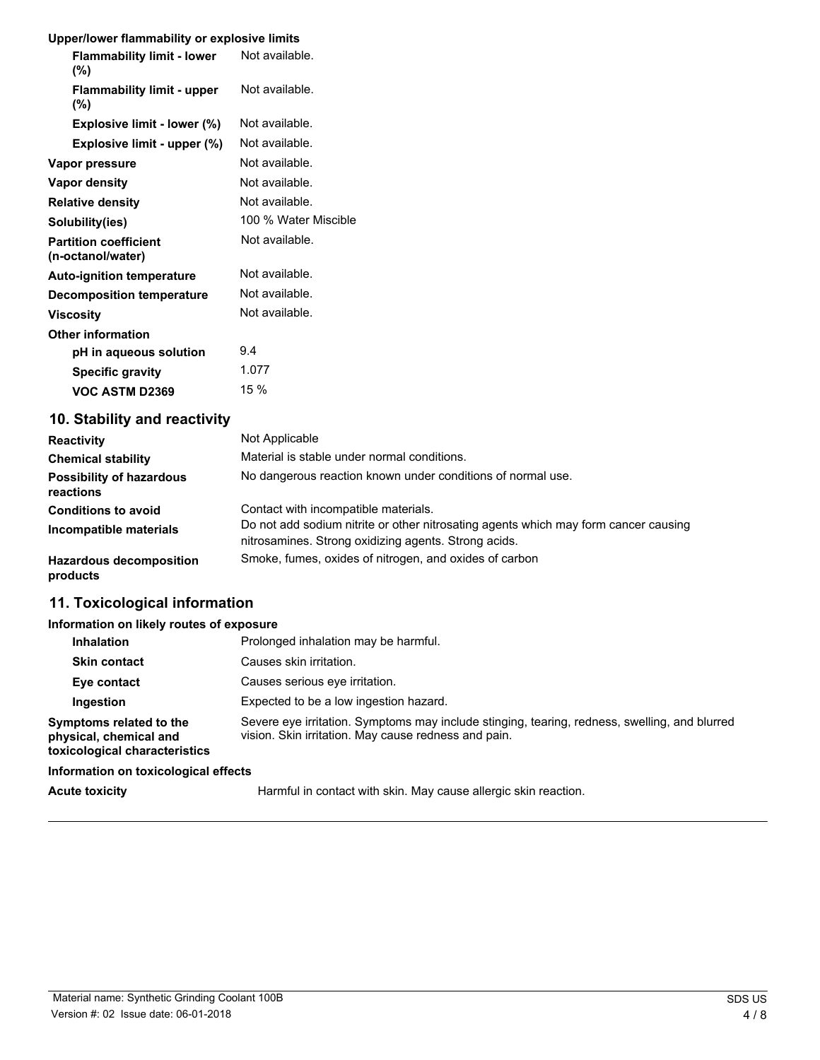### **Upper/lower flammability or explosive limits**

| <b>Flammability limit - lower</b><br>$(\% )$      | Not available.       |
|---------------------------------------------------|----------------------|
| <b>Flammability limit - upper</b><br>$(\%)$       | Not available.       |
| Explosive limit - lower (%)                       | Not available.       |
| Explosive limit - upper (%)                       | Not available.       |
| Vapor pressure                                    | Not available.       |
| Vapor density                                     | Not available.       |
| <b>Relative density</b>                           | Not available.       |
| Solubility(ies)                                   | 100 % Water Miscible |
| <b>Partition coefficient</b><br>(n-octanol/water) | Not available.       |
| <b>Auto-ignition temperature</b>                  | Not available.       |
| <b>Decomposition temperature</b>                  | Not available.       |
| Viscosity                                         | Not available.       |
| <b>Other information</b>                          |                      |
| pH in aqueous solution                            | 9.4                  |
| <b>Specific gravity</b>                           | 1.077                |
| <b>VOC ASTM D2369</b>                             | 15 %                 |

### **10. Stability and reactivity**

| <b>Reactivity</b>                                    | Not Applicable                                                                                                              |
|------------------------------------------------------|-----------------------------------------------------------------------------------------------------------------------------|
| <b>Chemical stability</b>                            | Material is stable under normal conditions.                                                                                 |
| <b>Possibility of hazardous</b><br>reactions         | No dangerous reaction known under conditions of normal use.                                                                 |
| <b>Conditions to avoid</b><br>Incompatible materials | Contact with incompatible materials.<br>Do not add sodium nitrite or other nitrosating agents which may form cancer causing |
|                                                      | nitrosamines. Strong oxidizing agents. Strong acids.                                                                        |
| <b>Hazardous decomposition</b><br>products           | Smoke, fumes, oxides of nitrogen, and oxides of carbon                                                                      |

### **11. Toxicological information**

#### **Information on likely routes of exposure**

| Inhalation                                                                         | Prolonged inhalation may be harmful.                                                                                                                  |
|------------------------------------------------------------------------------------|-------------------------------------------------------------------------------------------------------------------------------------------------------|
| <b>Skin contact</b>                                                                | Causes skin irritation.                                                                                                                               |
| Eye contact                                                                        | Causes serious eve irritation.                                                                                                                        |
| Ingestion                                                                          | Expected to be a low ingestion hazard.                                                                                                                |
| Symptoms related to the<br>physical, chemical and<br>toxicological characteristics | Severe eye irritation. Symptoms may include stinging, tearing, redness, swelling, and blurred<br>vision. Skin irritation. May cause redness and pain. |
| Information on toxicological effects                                               |                                                                                                                                                       |
|                                                                                    |                                                                                                                                                       |

**Acute toxicity** Harmful in contact with skin. May cause allergic skin reaction.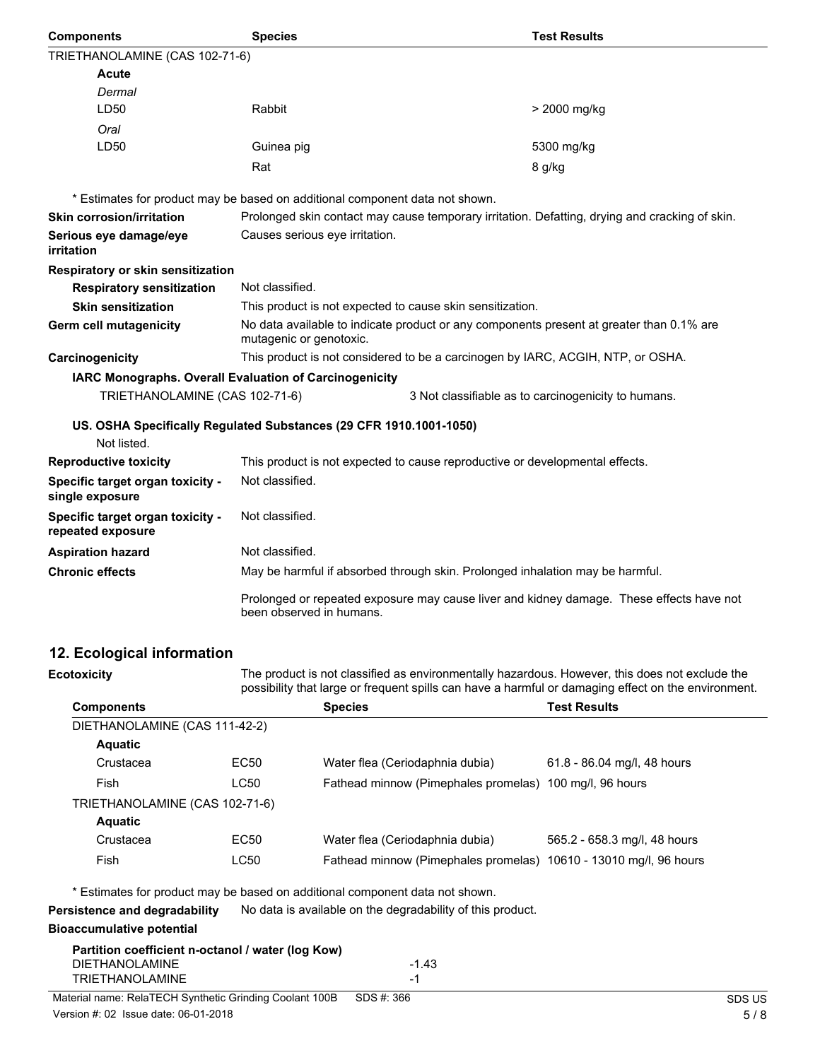| <b>Components</b>                                     | <b>Species</b>                                                                  | <b>Test Results</b>                                                                            |
|-------------------------------------------------------|---------------------------------------------------------------------------------|------------------------------------------------------------------------------------------------|
| TRIETHANOLAMINE (CAS 102-71-6)                        |                                                                                 |                                                                                                |
| <b>Acute</b>                                          |                                                                                 |                                                                                                |
| Dermal                                                |                                                                                 |                                                                                                |
| LD50                                                  | Rabbit                                                                          | > 2000 mg/kg                                                                                   |
| Oral                                                  |                                                                                 |                                                                                                |
| LD50                                                  | Guinea pig                                                                      | 5300 mg/kg                                                                                     |
|                                                       | Rat                                                                             | 8 g/kg                                                                                         |
|                                                       | * Estimates for product may be based on additional component data not shown.    |                                                                                                |
| <b>Skin corrosion/irritation</b>                      |                                                                                 | Prolonged skin contact may cause temporary irritation. Defatting, drying and cracking of skin. |
| Serious eye damage/eye<br>irritation                  | Causes serious eye irritation.                                                  |                                                                                                |
| Respiratory or skin sensitization                     |                                                                                 |                                                                                                |
| <b>Respiratory sensitization</b>                      | Not classified.                                                                 |                                                                                                |
| <b>Skin sensitization</b>                             | This product is not expected to cause skin sensitization.                       |                                                                                                |
| Germ cell mutagenicity                                | mutagenic or genotoxic.                                                         | No data available to indicate product or any components present at greater than 0.1% are       |
| Carcinogenicity                                       | This product is not considered to be a carcinogen by IARC, ACGIH, NTP, or OSHA. |                                                                                                |
|                                                       | IARC Monographs. Overall Evaluation of Carcinogenicity                          |                                                                                                |
| TRIETHANOLAMINE (CAS 102-71-6)                        |                                                                                 | 3 Not classifiable as to carcinogenicity to humans.                                            |
| Not listed.                                           | US. OSHA Specifically Regulated Substances (29 CFR 1910.1001-1050)              |                                                                                                |
| <b>Reproductive toxicity</b>                          | This product is not expected to cause reproductive or developmental effects.    |                                                                                                |
| Specific target organ toxicity -<br>single exposure   | Not classified.                                                                 |                                                                                                |
| Specific target organ toxicity -<br>repeated exposure | Not classified.                                                                 |                                                                                                |
| <b>Aspiration hazard</b>                              | Not classified.                                                                 |                                                                                                |
| <b>Chronic effects</b>                                | May be harmful if absorbed through skin. Prolonged inhalation may be harmful.   |                                                                                                |
|                                                       | been observed in humans.                                                        | Prolonged or repeated exposure may cause liver and kidney damage. These effects have not       |
| 12. Ecological information                            |                                                                                 |                                                                                                |
| Ecotoxicity                                           |                                                                                 | The product is not classified as environmentally hazardous. However, this does not exclude the |

|                                |                  | possibility that large or frequent spills can have a harmful or damaging effect on the environment. |                              |
|--------------------------------|------------------|-----------------------------------------------------------------------------------------------------|------------------------------|
| <b>Components</b>              |                  | <b>Species</b>                                                                                      | <b>Test Results</b>          |
| DIETHANOLAMINE (CAS 111-42-2)  |                  |                                                                                                     |                              |
| <b>Aquatic</b>                 |                  |                                                                                                     |                              |
| Crustacea                      | EC <sub>50</sub> | Water flea (Ceriodaphnia dubia)                                                                     | 61.8 - 86.04 mg/l, 48 hours  |
| Fish                           | LC50             | Fathead minnow (Pimephales promelas) 100 mg/l, 96 hours                                             |                              |
| TRIETHANOLAMINE (CAS 102-71-6) |                  |                                                                                                     |                              |
| <b>Aquatic</b>                 |                  |                                                                                                     |                              |
| Crustacea                      | EC <sub>50</sub> | Water flea (Ceriodaphnia dubia)                                                                     | 565.2 - 658.3 mg/l, 48 hours |
| Fish                           | LC50             | Fathead minnow (Pimephales promelas) 10610 - 13010 mg/l, 96 hours                                   |                              |
|                                |                  |                                                                                                     |                              |

\* Estimates for product may be based on additional component data not shown.

**Persistence and degradability** No data is available on the degradability of this product.

### **Bioaccumulative potential**

#### **Partition coefficient n-octanol / water (log Kow)** DIETHANOLAMINE -1.43<br>TRIETHANOLAMINE -1 TRIETHANOLAMINE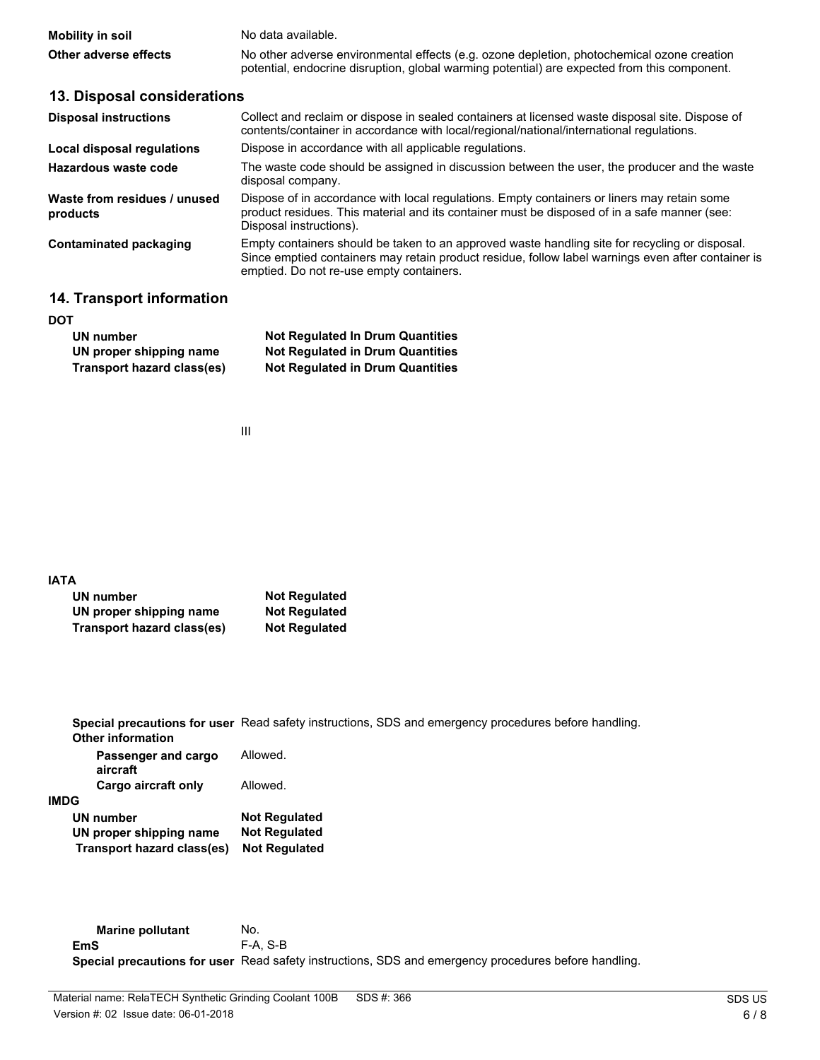| Mobility in soil      | No data available.                                                                           |
|-----------------------|----------------------------------------------------------------------------------------------|
| Other adverse effects | No other adverse environmental effects (e.g. ozone depletion, photochemical ozone creation   |
|                       | potential, endocrine disruption, global warming potential) are expected from this component. |

| 13. Disposal considerations              |                                                                                                                                                                                                                                                  |
|------------------------------------------|--------------------------------------------------------------------------------------------------------------------------------------------------------------------------------------------------------------------------------------------------|
| <b>Disposal instructions</b>             | Collect and reclaim or dispose in sealed containers at licensed waste disposal site. Dispose of<br>contents/container in accordance with local/regional/national/international regulations.                                                      |
| Local disposal regulations               | Dispose in accordance with all applicable regulations.                                                                                                                                                                                           |
| Hazardous waste code                     | The waste code should be assigned in discussion between the user, the producer and the waste<br>disposal company.                                                                                                                                |
| Waste from residues / unused<br>products | Dispose of in accordance with local regulations. Empty containers or liners may retain some<br>product residues. This material and its container must be disposed of in a safe manner (see:<br>Disposal instructions).                           |
| <b>Contaminated packaging</b>            | Empty containers should be taken to an approved waste handling site for recycling or disposal.<br>Since emptied containers may retain product residue, follow label warnings even after container is<br>emptied. Do not re-use empty containers. |
|                                          |                                                                                                                                                                                                                                                  |

### **14. Transport information**

| <b>DOT</b>                 |                                         |
|----------------------------|-----------------------------------------|
| UN number                  | <b>Not Regulated In Drum Quantities</b> |
| UN proper shipping name    | <b>Not Regulated in Drum Quantities</b> |
| Transport hazard class(es) | <b>Not Regulated in Drum Quantities</b> |

III

#### **IATA**

| UN number                  | <b>Not Regulated</b> |
|----------------------------|----------------------|
| UN proper shipping name    | <b>Not Regulated</b> |
| Transport hazard class(es) | <b>Not Regulated</b> |

**Special precautions for user** Read safety instructions, SDS and emergency procedures before handling. **Other information**

| Passenger and cargo<br>aircraft | Allowed.             |
|---------------------------------|----------------------|
| Cargo aircraft only             | Allowed.             |
| <b>IMDG</b>                     |                      |
| <b>UN number</b>                | <b>Not Regulated</b> |
| UN proper shipping name         | <b>Not Regulated</b> |
| Transport hazard class(es)      | <b>Not Regulated</b> |

**Marine pollutant** No. **EmS** F-A, S-B **Special precautions for user** Read safety instructions, SDS and emergency procedures before handling.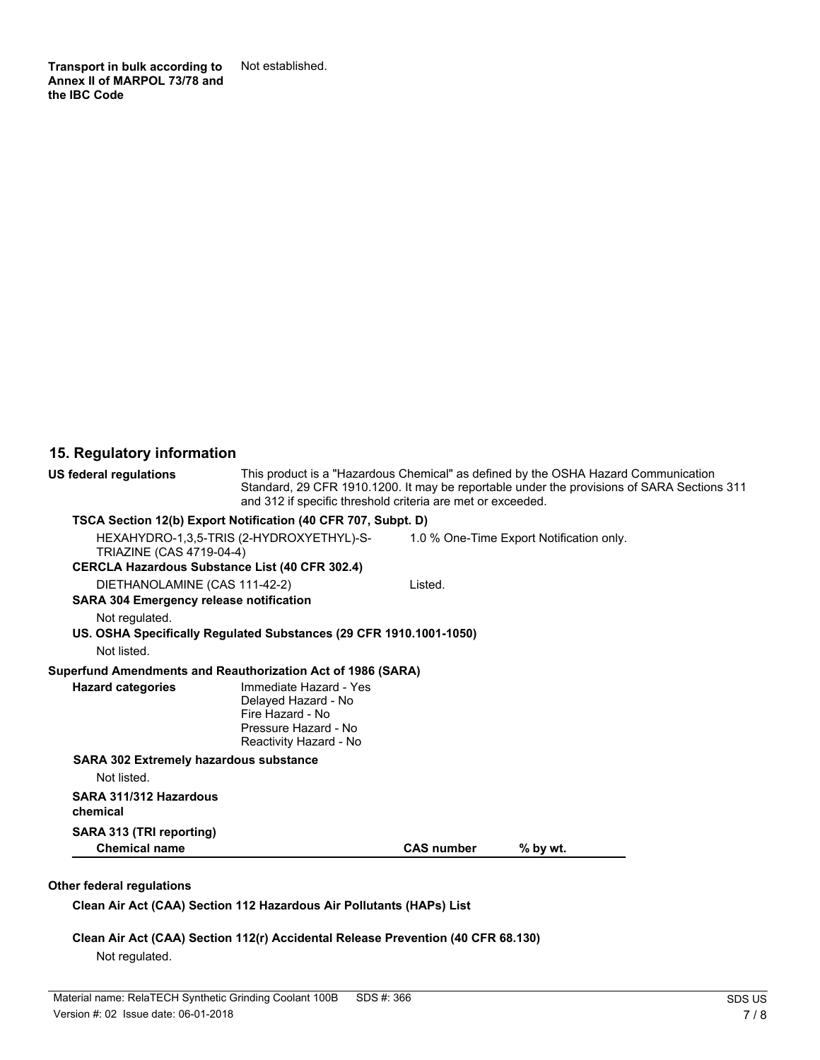**Transport in bulk according to** Not established. **Annex II of MARPOL 73/78 and the IBC Code**

## **15. Regulatory information**

| US federal regulations                                      | This product is a "Hazardous Chemical" as defined by the OSHA Hazard Communication<br>Standard, 29 CFR 1910.1200. It may be reportable under the provisions of SARA Sections 311<br>and 312 if specific threshold criteria are met or exceeded. |                   |                                          |
|-------------------------------------------------------------|-------------------------------------------------------------------------------------------------------------------------------------------------------------------------------------------------------------------------------------------------|-------------------|------------------------------------------|
|                                                             | TSCA Section 12(b) Export Notification (40 CFR 707, Subpt. D)                                                                                                                                                                                   |                   |                                          |
| TRIAZINE (CAS 4719-04-4)                                    | HEXAHYDRO-1,3,5-TRIS (2-HYDROXYETHYL)-S-                                                                                                                                                                                                        |                   | 1.0 % One-Time Export Notification only. |
| <b>CERCLA Hazardous Substance List (40 CFR 302.4)</b>       |                                                                                                                                                                                                                                                 |                   |                                          |
| DIETHANOLAMINE (CAS 111-42-2)                               |                                                                                                                                                                                                                                                 | Listed.           |                                          |
| <b>SARA 304 Emergency release notification</b>              |                                                                                                                                                                                                                                                 |                   |                                          |
| Not regulated.                                              |                                                                                                                                                                                                                                                 |                   |                                          |
|                                                             | US. OSHA Specifically Regulated Substances (29 CFR 1910.1001-1050)                                                                                                                                                                              |                   |                                          |
| Not listed.                                                 |                                                                                                                                                                                                                                                 |                   |                                          |
| Superfund Amendments and Reauthorization Act of 1986 (SARA) |                                                                                                                                                                                                                                                 |                   |                                          |
| <b>Hazard categories</b>                                    | Immediate Hazard - Yes<br>Delayed Hazard - No<br>Fire Hazard - No<br>Pressure Hazard - No<br>Reactivity Hazard - No                                                                                                                             |                   |                                          |
| <b>SARA 302 Extremely hazardous substance</b>               |                                                                                                                                                                                                                                                 |                   |                                          |
| Not listed.                                                 |                                                                                                                                                                                                                                                 |                   |                                          |
| SARA 311/312 Hazardous<br>chemical                          |                                                                                                                                                                                                                                                 |                   |                                          |
| SARA 313 (TRI reporting)                                    |                                                                                                                                                                                                                                                 |                   |                                          |
| <b>Chemical name</b>                                        |                                                                                                                                                                                                                                                 | <b>CAS number</b> | % by wt.                                 |

### **Other federal regulations**

**Clean Air Act (CAA) Section 112 Hazardous Air Pollutants (HAPs) List**

**Clean Air Act (CAA) Section 112(r) Accidental Release Prevention (40 CFR 68.130)** Not regulated.